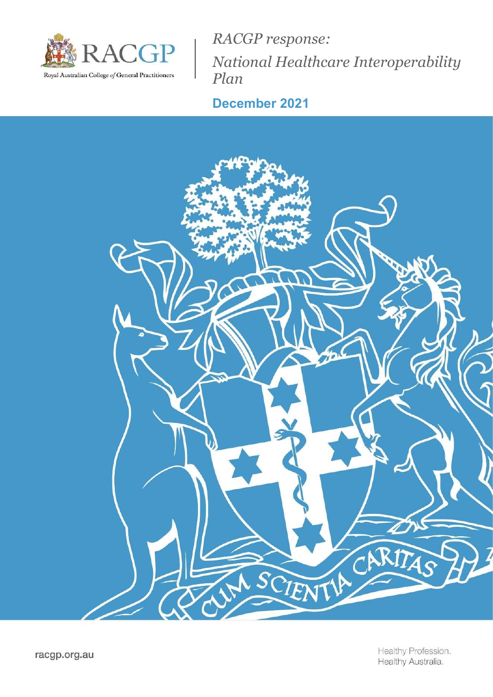

RACGP response: National Healthcare Interoperability Plan

# December 2021

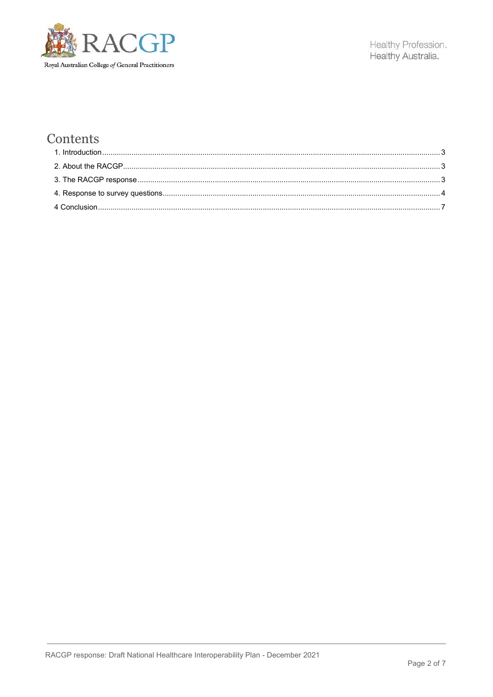

## Contents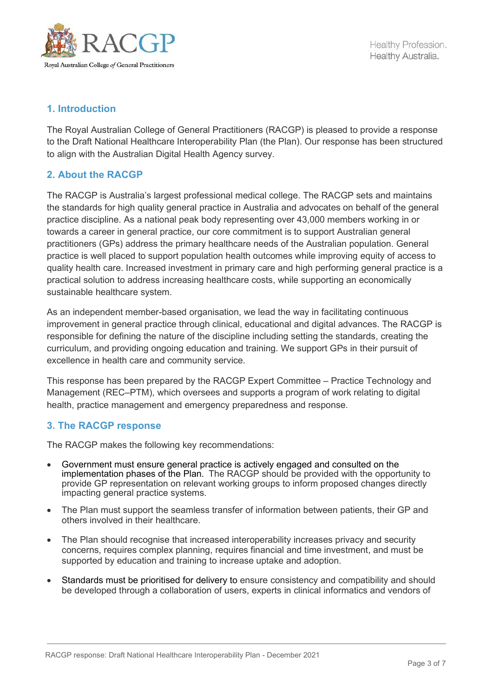

## 1. Introduction

The Royal Australian College of General Practitioners (RACGP) is pleased to provide a response to the Draft National Healthcare Interoperability Plan (the Plan). Our response has been structured to align with the Australian Digital Health Agency survey.

## 2. About the RACGP

The RACGP is Australia's largest professional medical college. The RACGP sets and maintains the standards for high quality general practice in Australia and advocates on behalf of the general practice discipline. As a national peak body representing over 43,000 members working in or towards a career in general practice, our core commitment is to support Australian general practitioners (GPs) address the primary healthcare needs of the Australian population. General practice is well placed to support population health outcomes while improving equity of access to quality health care. Increased investment in primary care and high performing general practice is a practical solution to address increasing healthcare costs, while supporting an economically sustainable healthcare system.

As an independent member-based organisation, we lead the way in facilitating continuous improvement in general practice through clinical, educational and digital advances. The RACGP is responsible for defining the nature of the discipline including setting the standards, creating the curriculum, and providing ongoing education and training. We support GPs in their pursuit of excellence in health care and community service.

This response has been prepared by the RACGP Expert Committee – Practice Technology and Management (REC–PTM), which oversees and supports a program of work relating to digital health, practice management and emergency preparedness and response.

## 3. The RACGP response

The RACGP makes the following key recommendations:

- Government must ensure general practice is actively engaged and consulted on the implementation phases of the Plan. The RACGP should be provided with the opportunity to provide GP representation on relevant working groups to inform proposed changes directly impacting general practice systems.
- The Plan must support the seamless transfer of information between patients, their GP and others involved in their healthcare.
- The Plan should recognise that increased interoperability increases privacy and security concerns, requires complex planning, requires financial and time investment, and must be supported by education and training to increase uptake and adoption.
- Standards must be prioritised for delivery to ensure consistency and compatibility and should be developed through a collaboration of users, experts in clinical informatics and vendors of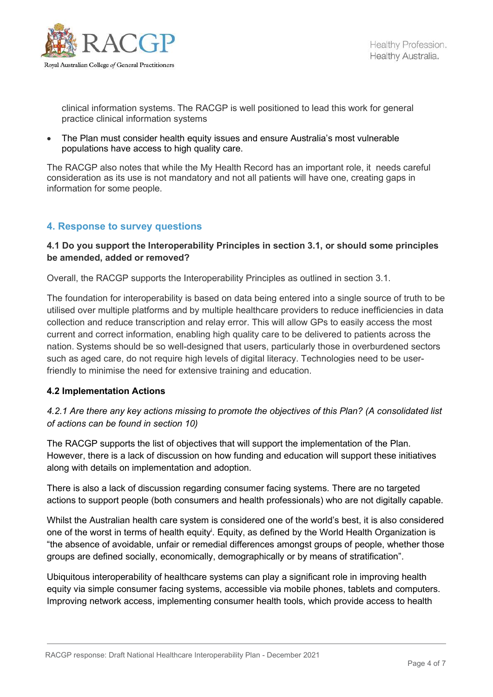

clinical information systems. The RACGP is well positioned to lead this work for general practice clinical information systems

 The Plan must consider health equity issues and ensure Australia's most vulnerable populations have access to high quality care.

The RACGP also notes that while the My Health Record has an important role, it needs careful consideration as its use is not mandatory and not all patients will have one, creating gaps in information for some people.

## 4. Response to survey questions

#### 4.1 Do you support the Interoperability Principles in section 3.1, or should some principles be amended, added or removed?

Overall, the RACGP supports the Interoperability Principles as outlined in section 3.1.

The foundation for interoperability is based on data being entered into a single source of truth to be utilised over multiple platforms and by multiple healthcare providers to reduce inefficiencies in data collection and reduce transcription and relay error. This will allow GPs to easily access the most current and correct information, enabling high quality care to be delivered to patients across the nation. Systems should be so well-designed that users, particularly those in overburdened sectors such as aged care, do not require high levels of digital literacy. Technologies need to be userfriendly to minimise the need for extensive training and education.

#### 4.2 Implementation Actions

## 4.2.1 Are there any key actions missing to promote the objectives of this Plan? (A consolidated list of actions can be found in section 10)

The RACGP supports the list of objectives that will support the implementation of the Plan. However, there is a lack of discussion on how funding and education will support these initiatives along with details on implementation and adoption.

There is also a lack of discussion regarding consumer facing systems. There are no targeted actions to support people (both consumers and health professionals) who are not digitally capable.

Whilst the Australian health care system is considered one of the world's best, it is also considered one of the worst in terms of health equity<sup>i</sup>. Equity, as defined by the World Health Organization is "the absence of avoidable, unfair or remedial differences amongst groups of people, whether those groups are defined socially, economically, demographically or by means of stratification".

Ubiquitous interoperability of healthcare systems can play a significant role in improving health equity via simple consumer facing systems, accessible via mobile phones, tablets and computers. Improving network access, implementing consumer health tools, which provide access to health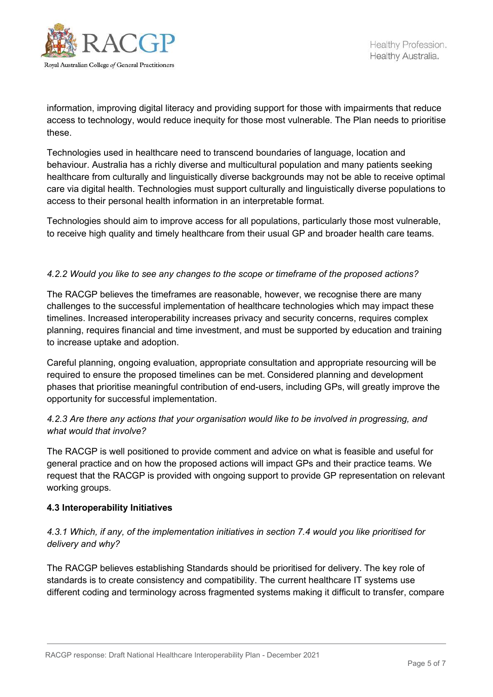

information, improving digital literacy and providing support for those with impairments that reduce access to technology, would reduce inequity for those most vulnerable. The Plan needs to prioritise these.

Technologies used in healthcare need to transcend boundaries of language, location and behaviour. Australia has a richly diverse and multicultural population and many patients seeking healthcare from culturally and linguistically diverse backgrounds may not be able to receive optimal care via digital health. Technologies must support culturally and linguistically diverse populations to access to their personal health information in an interpretable format.

Technologies should aim to improve access for all populations, particularly those most vulnerable, to receive high quality and timely healthcare from their usual GP and broader health care teams.

#### 4.2.2 Would you like to see any changes to the scope or timeframe of the proposed actions?

The RACGP believes the timeframes are reasonable, however, we recognise there are many challenges to the successful implementation of healthcare technologies which may impact these timelines. Increased interoperability increases privacy and security concerns, requires complex planning, requires financial and time investment, and must be supported by education and training to increase uptake and adoption.

Careful planning, ongoing evaluation, appropriate consultation and appropriate resourcing will be required to ensure the proposed timelines can be met. Considered planning and development phases that prioritise meaningful contribution of end-users, including GPs, will greatly improve the opportunity for successful implementation.

## 4.2.3 Are there any actions that your organisation would like to be involved in progressing, and what would that involve?

The RACGP is well positioned to provide comment and advice on what is feasible and useful for general practice and on how the proposed actions will impact GPs and their practice teams. We request that the RACGP is provided with ongoing support to provide GP representation on relevant working groups.

#### 4.3 Interoperability Initiatives

## 4.3.1 Which, if any, of the implementation initiatives in section 7.4 would you like prioritised for delivery and why?

The RACGP believes establishing Standards should be prioritised for delivery. The key role of standards is to create consistency and compatibility. The current healthcare IT systems use different coding and terminology across fragmented systems making it difficult to transfer, compare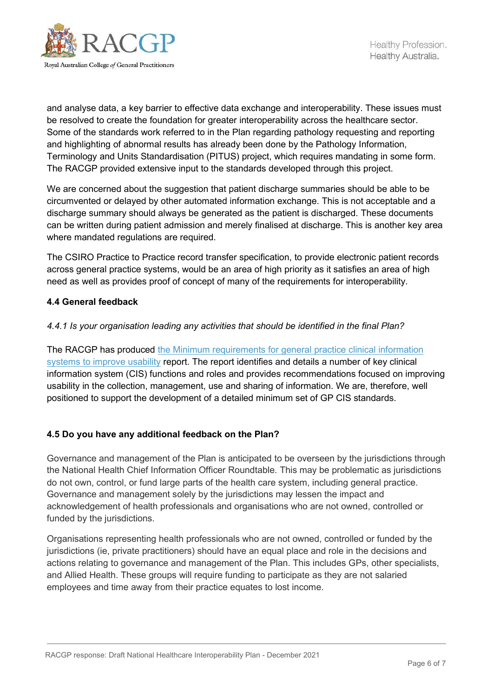

and analyse data, a key barrier to effective data exchange and interoperability. These issues must be resolved to create the foundation for greater interoperability across the healthcare sector. Some of the standards work referred to in the Plan regarding pathology requesting and reporting and highlighting of abnormal results has already been done by the Pathology Information, Terminology and Units Standardisation (PITUS) project, which requires mandating in some form. The RACGP provided extensive input to the standards developed through this project.

We are concerned about the suggestion that patient discharge summaries should be able to be circumvented or delayed by other automated information exchange. This is not acceptable and a discharge summary should always be generated as the patient is discharged. These documents can be written during patient admission and merely finalised at discharge. This is another key area where mandated regulations are required.

The CSIRO Practice to Practice record transfer specification, to provide electronic patient records across general practice systems, would be an area of high priority as it satisfies an area of high need as well as provides proof of concept of many of the requirements for interoperability.

#### 4.4 General feedback

#### 4.4.1 Is your organisation leading any activities that should be identified in the final Plan?

The RACGP has produced the Minimum requirements for general practice clinical information systems to improve usability report. The report identifies and details a number of key clinical information system (CIS) functions and roles and provides recommendations focused on improving usability in the collection, management, use and sharing of information. We are, therefore, well positioned to support the development of a detailed minimum set of GP CIS standards.

#### 4.5 Do you have any additional feedback on the Plan?

Governance and management of the Plan is anticipated to be overseen by the jurisdictions through the National Health Chief Information Officer Roundtable. This may be problematic as jurisdictions do not own, control, or fund large parts of the health care system, including general practice. Governance and management solely by the jurisdictions may lessen the impact and acknowledgement of health professionals and organisations who are not owned, controlled or funded by the jurisdictions.

Organisations representing health professionals who are not owned, controlled or funded by the jurisdictions (ie, private practitioners) should have an equal place and role in the decisions and actions relating to governance and management of the Plan. This includes GPs, other specialists, and Allied Health. These groups will require funding to participate as they are not salaried employees and time away from their practice equates to lost income.